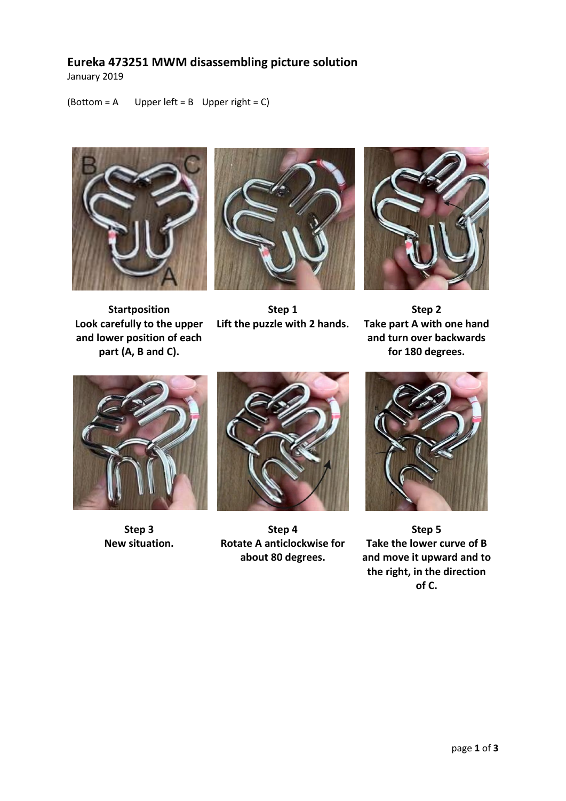## **Eureka 473251 MWM disassembling picture solution**

January 2019

(Bottom =  $A$  Upper left =  $B$  Upper right =  $C$ )



**Startposition Look carefully to the upper and lower position of each part (A, B and C).**







**Step 2 Take part A with one hand and turn over backwards for 180 degrees.**



**Step 3 New situation.**



**Step 4 Rotate A anticlockwise for about 80 degrees.** 



**Step 5 Take the lower curve of B and move it upward and to the right, in the direction of C.**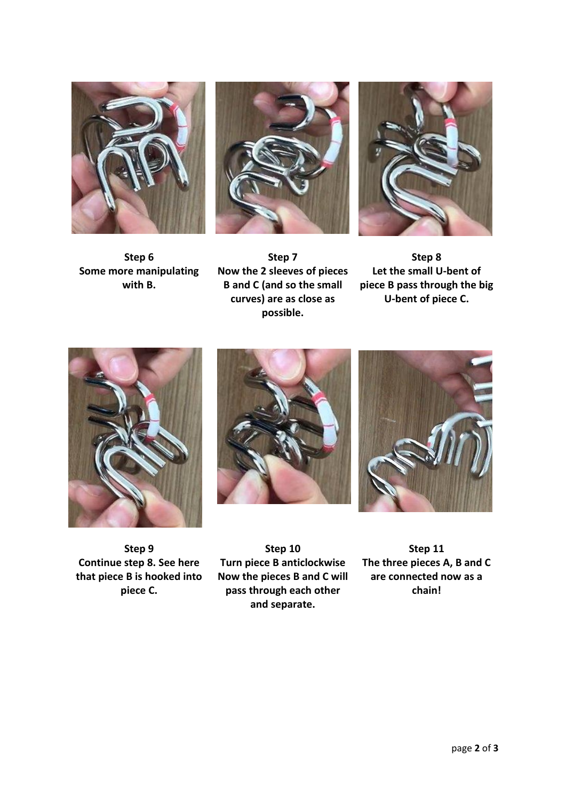





**Step 6 Some more manipulating with B.**

**Step 7 Now the 2 sleeves of pieces B and C (and so the small curves) are as close as possible.**

**Step 8 Let the small U-bent of piece B pass through the big U-bent of piece C.**







**Step 9 Continue step 8. See here that piece B is hooked into piece C.**

**Step 10 Turn piece B anticlockwise Now the pieces B and C will pass through each other and separate.**

**Step 11 The three pieces A, B and C are connected now as a chain!**